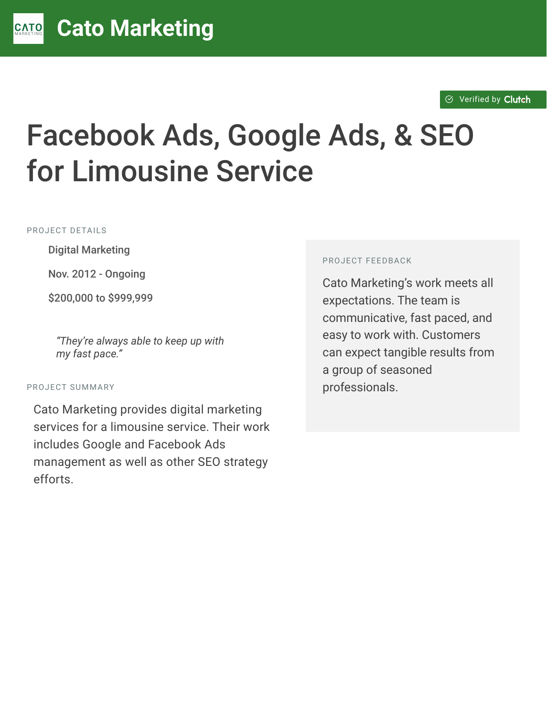#### $\otimes$  [Verified by](https://clutch.co?utm_source=case_studies&utm_medium=verified_by_clutch) Clutch

# Facebook Ads, Google Ads, & SEO for Limousine Service

PROJECT DETAILS

**Digital Marketing** 

Nov. 2012 - Ongoing

C \$200,000 to \$999,999

"They're always able to keep up with *my fast pace."*

#### PROJECT SUMMARY

Cato Marketing provides digital marketing services for a limousine service. Their work includes Google and Facebook Ads management as well as other SEO strategy efforts.

#### PROJECT FEEDBACK

Cato Marketing's work meets all expectations. The team is communicative, fast paced, and easy to work with. Customers can expect tangible results from a group of seasoned professionals.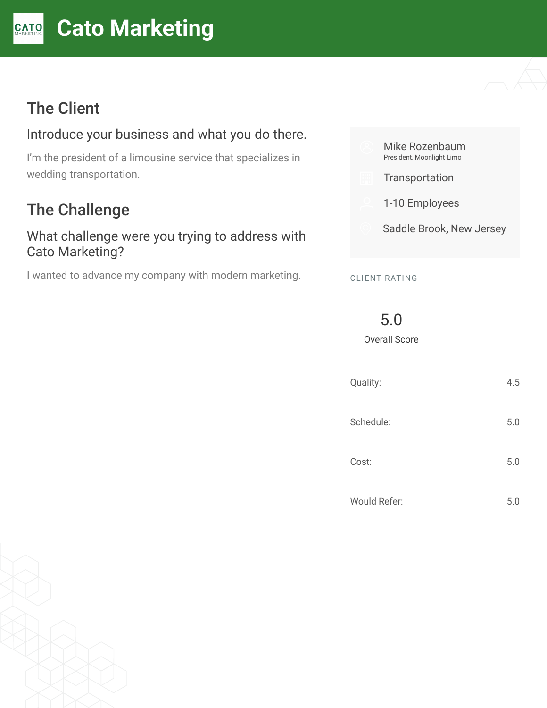#### **[C](https://clutch.co/profile/cato-marketing?utm_source=case_studies&utm_medium=logo)ato Marketing** CATO

# The Client

#### Introduce your business and what you do there.

I'm the president of a limousine service that specializes in wedding transportation.

## The Challenge

#### What challenge were you trying to address with Cato Marketing?

I wanted to advance my company with modern marketing.



CLIENT RATING

5.0

Overall Score

| Quality:            | 4.5 |
|---------------------|-----|
| Schedule:           | 5.0 |
| Cost:               | 5.0 |
| <b>Would Refer:</b> | 5.0 |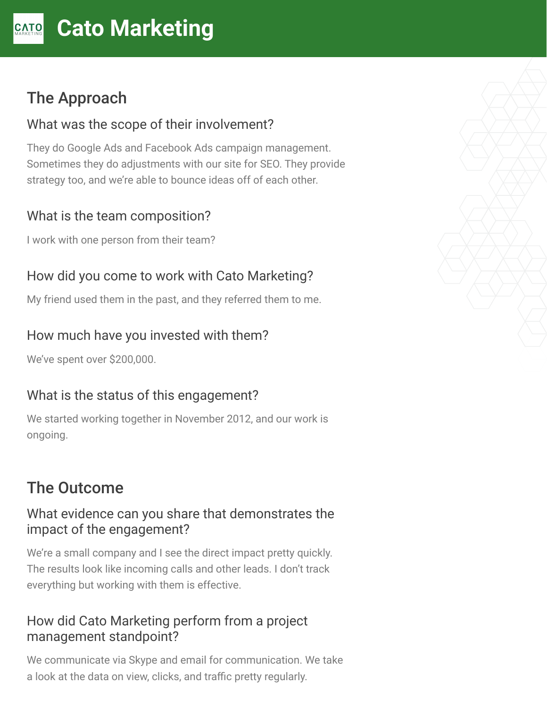# The Approach

#### What was the scope of their involvement?

They do Google Ads and Facebook Ads campaign management. Sometimes they do adjustments with our site for SEO. They provide strategy too, and we're able to bounce ideas off of each other.

#### What is the team composition?

I work with one person from their team?

## How did you come to work with Cato Marketing?

My friend used them in the past, and they referred them to me.

## How much have you invested with them?

We've spent over \$200,000.

## What is the status of this engagement?

We started working together in November 2012, and our work is ongoing.

# The Outcome

#### What evidence can you share that demonstrates the impact of the engagement?

We're a small company and I see the direct impact pretty quickly. The results look like incoming calls and other leads. I don't track everything but working with them is effective.

### How did Cato Marketing perform from a project management standpoint?

We communicate via Skype and email for communication. We take a look at the data on view, clicks, and traffic pretty regularly.